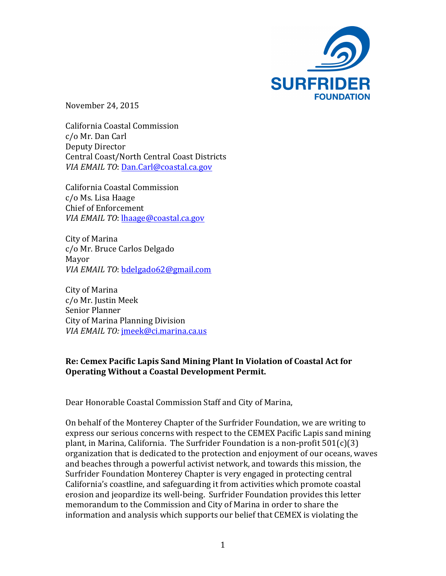

November 24, 2015

California Coastal Commission c/o Mr. Dan Carl Deputy Director Central Coast/North Central Coast Districts *VIA EMAIL TO: Dan.Carl@coastal.ca.gov* 

California Coastal Commission c/o Ms. Lisa Haage Chief of Enforcement *VIA EMAIL TO:* lhaage@coastal.ca.gov

City of Marina c/o Mr. Bruce Carlos Delgado Mayor *VIA EMAIL TO:* bdelgado62@gmail.com

City of Marina c/o Mr. Justin Meek Senior Planner City of Marina Planning Division *VIA EMAIL TO:* jmeek@ci.marina.ca.us

## **Re: Cemex Pacific Lapis Sand Mining Plant In Violation of Coastal Act for Operating Without a Coastal Development Permit.**

Dear Honorable Coastal Commission Staff and City of Marina,

On behalf of the Monterey Chapter of the Surfrider Foundation, we are writing to express our serious concerns with respect to the CEMEX Pacific Lapis sand mining plant, in Marina, California. The Surfrider Foundation is a non-profit  $501(c)(3)$ organization that is dedicated to the protection and enjoyment of our oceans, waves and beaches through a powerful activist network, and towards this mission, the Surfrider Foundation Monterey Chapter is very engaged in protecting central California's coastline, and safeguarding it from activities which promote coastal erosion and jeopardize its well-being. Surfrider Foundation provides this letter memorandum to the Commission and City of Marina in order to share the information and analysis which supports our belief that CEMEX is violating the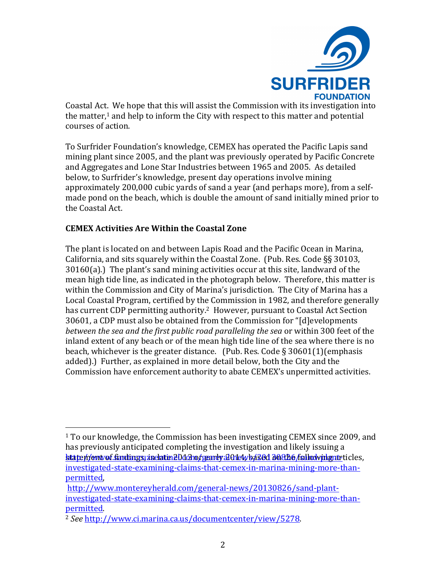

Coastal Act. We hope that this will assist the Commission with its investigation into the matter, $1$  and help to inform the City with respect to this matter and potential courses of action.

To Surfrider Foundation's knowledge, CEMEX has operated the Pacific Lapis sand mining plant since 2005, and the plant was previously operated by Pacific Concrete and Aggregates and Lone Star Industries between 1965 and 2005. As detailed below, to Surfrider's knowledge, present day operations involve mining approximately 200,000 cubic yards of sand a year (and perhaps more), from a selfmade pond on the beach, which is double the amount of sand initially mined prior to the Coastal Act.

## **CEMEX Activities Are Within the Coastal Zone**

 

The plant is located on and between Lapis Road and the Pacific Ocean in Marina, California, and sits squarely within the Coastal Zone. (Pub. Res. Code  $\S$ § 30103,  $30160(a)$ .) The plant's sand mining activities occur at this site, landward of the mean high tide line, as indicated in the photograph below. Therefore, this matter is within the Commission and City of Marina's jurisdiction. The City of Marina has a Local Coastal Program, certified by the Commission in 1982, and therefore generally has current CDP permitting authority.<sup>2</sup> However, pursuant to Coastal Act Section 30601, a CDP must also be obtained from the Commission for "[d]evelopments *between the sea and the first public road paralleling the sea or within* 300 feet of the inland extent of any beach or of the mean high tide line of the sea where there is no beach, whichever is the greater distance. (Pub. Res. Code  $\S 30601(1)$ (emphasis added).) Further, as explained in more detail below, both the City and the Commission have enforcement authority to abate CEMEX's unpermitted activities.

 $1$  To our knowledge, the Commission has been investigating CEMEX since 2009, and has previously anticipated completing the investigation and likely issuing a statement sindings, inclater 2013 or early 2014, based 30306 following raticles, investigated-state-examining-claims-that-cemex-in-marina-mining-more-thanpermitted, 

http://www.montereyherald.com/general-news/20130826/sand-plantinvestigated-state-examining-claims-that-cemex-in-marina-mining-more-thanpermitted. 

<sup>2</sup> *See* http://www.ci.marina.ca.us/documentcenter/view/5278.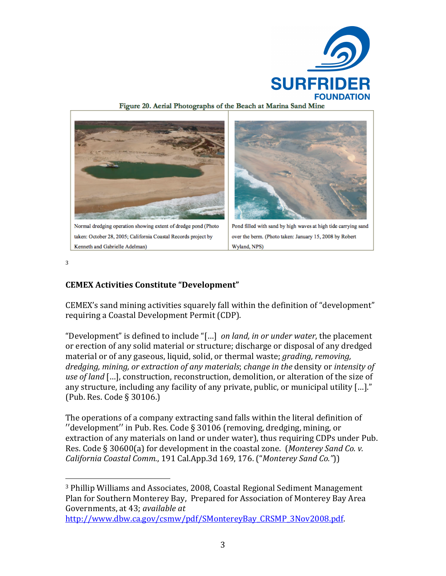



3

# **CEMEX Activities Constitute "Development"**

 

CEMEX's sand mining activities squarely fall within the definition of "development" requiring a Coastal Development Permit (CDP).

"Development" is defined to include "[...] *on land, in or under water*, the placement or erection of any solid material or structure; discharge or disposal of any dredged material or of any gaseous, liquid, solid, or thermal waste; *grading, removing,* dredging, mining, or extraction of any materials; *change* in the density or intensity of use of land [...], construction, reconstruction, demolition, or alteration of the size of any structure, including any facility of any private, public, or municipal utility  $[\ldots]$ ." (Pub. Res. Code § 30106.)

The operations of a company extracting sand falls within the literal definition of ′′development′′ in Pub. Res. Code § 30106 (removing, dredging, mining, or extraction of any materials on land or under water), thus requiring CDPs under Pub. Res. Code § 30600(a) for development in the coastal zone. (Monterey Sand Co. v. *California Coastal Comm.*, 191 Cal.App.3d 169, 176. ("*Monterey Sand Co."*))

<sup>&</sup>lt;sup>3</sup> Phillip Williams and Associates, 2008, Coastal Regional Sediment Management Plan for Southern Monterey Bay, Prepared for Association of Monterey Bay Area Governments, at 43; *available at* 

http://www.dbw.ca.gov/csmw/pdf/SMontereyBay\_CRSMP\_3Nov2008.pdf.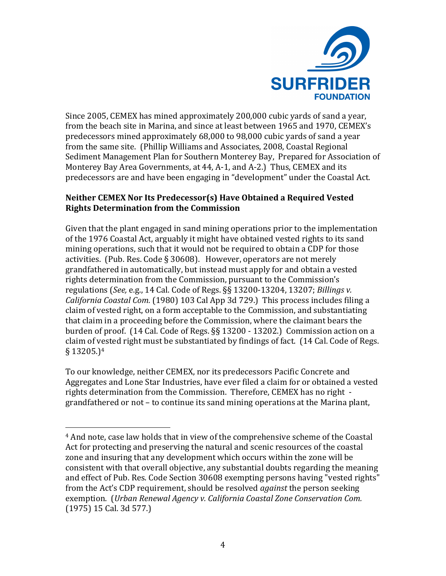

Since 2005, CEMEX has mined approximately 200,000 cubic yards of sand a year, from the beach site in Marina, and since at least between 1965 and 1970, CEMEX's predecessors mined approximately 68,000 to 98,000 cubic vards of sand a year from the same site. (Phillip Williams and Associates, 2008, Coastal Regional Sediment Management Plan for Southern Monterey Bay, Prepared for Association of Monterey Bay Area Governments, at 44, A-1, and A-2.) Thus, CEMEX and its predecessors are and have been engaging in "development" under the Coastal Act.

### **Neither CEMEX Nor Its Predecessor(s) Have Obtained a Required Vested Rights Determination from the Commission**

Given that the plant engaged in sand mining operations prior to the implementation of the 1976 Coastal Act, arguably it might have obtained vested rights to its sand mining operations, such that it would not be required to obtain a CDP for those activities. (Pub. Res. Code § 30608). However, operators are not merely grandfathered in automatically, but instead must apply for and obtain a vested rights determination from the Commission, pursuant to the Commission's regulations (See, e.g., 14 Cal. Code of Regs. §§ 13200-13204, 13207; *Billings v. California Coastal Com.* (1980) 103 Cal App 3d 729.) This process includes filing a claim of vested right, on a form acceptable to the Commission, and substantiating that claim in a proceeding before the Commission, where the claimant bears the burden of proof. (14 Cal. Code of Regs. §§ 13200 - 13202.) Commission action on a claim of vested right must be substantiated by findings of fact. (14 Cal. Code of Regs.  $§$  13205.)<sup>4</sup>

To our knowledge, neither CEMEX, nor its predecessors Pacific Concrete and Aggregates and Lone Star Industries, have ever filed a claim for or obtained a vested rights determination from the Commission. Therefore, CEMEX has no right grandfathered or not – to continue its sand mining operations at the Marina plant,

 

<sup>&</sup>lt;sup>4</sup> And note, case law holds that in view of the comprehensive scheme of the Coastal Act for protecting and preserving the natural and scenic resources of the coastal zone and insuring that any development which occurs within the zone will be consistent with that overall objective, any substantial doubts regarding the meaning and effect of Pub. Res. Code Section 30608 exempting persons having "vested rights" from the Act's CDP requirement, should be resolved *against* the person seeking exemption. (*Urban Renewal Agency v. California Coastal Zone Conservation Com.* (1975) 15 Cal. 3d 577.)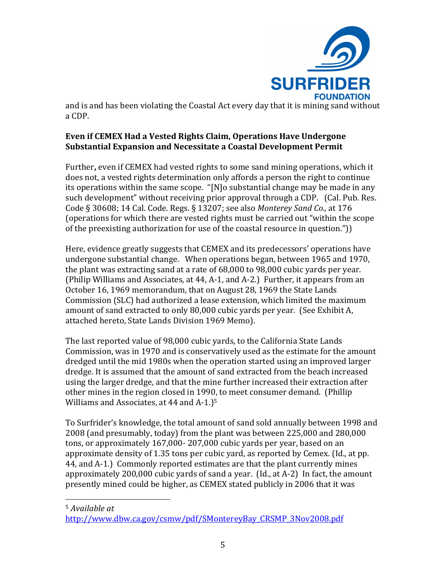

and is and has been violating the Coastal Act every day that it is mining sand without a CDP.

## **Even if CEMEX Had a Vested Rights Claim, Operations Have Undergone Substantial Expansion and Necessitate a Coastal Development Permit**

Further, even if CEMEX had vested rights to some sand mining operations, which it does not, a vested rights determination only affords a person the right to continue its operations within the same scope. "[N]o substantial change may be made in any such development" without receiving prior approval through a CDP. (Cal. Pub. Res.) Code § 30608; 14 Cal. Code. Regs. § 13207; see also Monterey Sand Co., at 176 (operations for which there are vested rights must be carried out "within the scope of the preexisting authorization for use of the coastal resource in question.")

Here, evidence greatly suggests that CEMEX and its predecessors' operations have undergone substantial change. When operations began, between 1965 and 1970, the plant was extracting sand at a rate of  $68,000$  to  $98,000$  cubic yards per year. (Philip Williams and Associates, at 44, A-1, and A-2.) Further, it appears from an October 16, 1969 memorandum, that on August 28, 1969 the State Lands Commission (SLC) had authorized a lease extension, which limited the maximum amount of sand extracted to only 80,000 cubic yards per year. (See Exhibit A, attached hereto, State Lands Division 1969 Memo).

The last reported value of 98,000 cubic vards, to the California State Lands Commission, was in 1970 and is conservatively used as the estimate for the amount dredged until the mid 1980s when the operation started using an improved larger dredge. It is assumed that the amount of sand extracted from the beach increased using the larger dredge, and that the mine further increased their extraction after other mines in the region closed in 1990, to meet consumer demand. (Phillip Williams and Associates, at  $44$  and  $A-1$ .)<sup>5</sup>

To Surfrider's knowledge, the total amount of sand sold annually between 1998 and 2008 (and presumably, today) from the plant was between 225,000 and 280,000 tons, or approximately 167,000- 207,000 cubic vards per year, based on an approximate density of  $1.35$  tons per cubic yard, as reported by Cemex. (Id., at pp. 44, and A-1.) Commonly reported estimates are that the plant currently mines approximately  $200,000$  cubic yards of sand a year. (Id., at A-2) In fact, the amount presently mined could be higher, as CEMEX stated publicly in 2006 that it was

<sup>5</sup> Available at

 

http://www.dbw.ca.gov/csmw/pdf/SMontereyBay\_CRSMP\_3Nov2008.pdf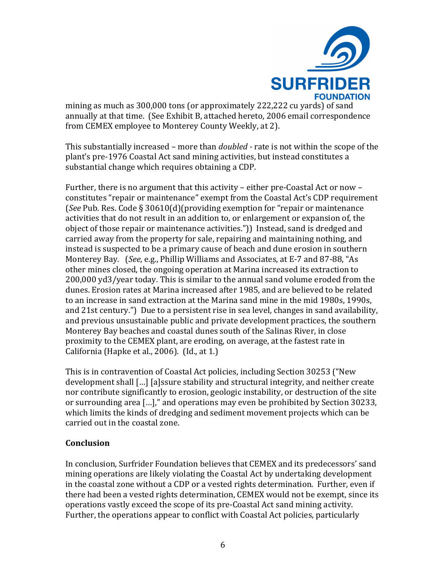

mining as much as 300,000 tons (or approximately 222,222 cu yards) of sand annually at that time. (See Exhibit B, attached hereto, 2006 email correspondence from CEMEX employee to Monterey County Weekly, at 2).

This substantially increased – more than *doubled* - rate is not within the scope of the plant's pre-1976 Coastal Act sand mining activities, but instead constitutes a substantial change which requires obtaining a CDP.

Further, there is no argument that this activity – either pre-Coastal Act or now – constitutes "repair or maintenance" exempt from the Coastal Act's CDP requirement (*See* Pub. Res. Code § 30610(d)(providing exemption for "repair or maintenance activities that do not result in an addition to, or enlargement or expansion of, the object of those repair or maintenance activities.")) Instead, sand is dredged and carried away from the property for sale, repairing and maintaining nothing, and instead is suspected to be a primary cause of beach and dune erosion in southern Monterey Bay. (*See*, e.g., Phillip Williams and Associates, at E-7 and 87-88, "As other mines closed, the ongoing operation at Marina increased its extraction to 200,000 yd3/year today. This is similar to the annual sand volume eroded from the dunes. Erosion rates at Marina increased after 1985, and are believed to be related to an increase in sand extraction at the Marina sand mine in the mid 1980s, 1990s, and 21st century.") Due to a persistent rise in sea level, changes in sand availability, and previous unsustainable public and private development practices, the southern Monterey Bay beaches and coastal dunes south of the Salinas River, in close proximity to the CEMEX plant, are eroding, on average, at the fastest rate in California (Hapke et al.,  $2006$ ). (Id., at 1.)

This is in contravention of Coastal Act policies, including Section 30253 ("New development shall [...] [a]ssure stability and structural integrity, and neither create nor contribute significantly to erosion, geologic instability, or destruction of the site or surrounding area [...]," and operations may even be prohibited by Section 30233, which limits the kinds of dredging and sediment movement projects which can be carried out in the coastal zone.

#### **Conclusion**

In conclusion, Surfrider Foundation believes that CEMEX and its predecessors' sand mining operations are likely violating the Coastal Act by undertaking development in the coastal zone without a CDP or a vested rights determination. Further, even if there had been a vested rights determination, CEMEX would not be exempt, since its operations vastly exceed the scope of its pre-Coastal Act sand mining activity. Further, the operations appear to conflict with Coastal Act policies, particularly